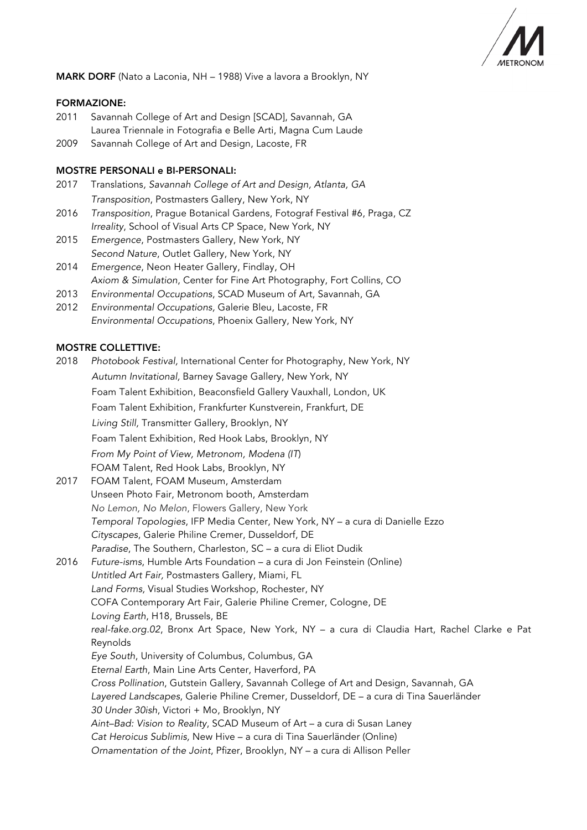

MARK DORF (Nato a Laconia, NH – 1988) Vive a lavora a Brooklyn, NY

# FORMAZIONE:

- 2011 Savannah College of Art and Design [SCAD], Savannah, GA Laurea Triennale in Fotografia e Belle Arti, Magna Cum Laude
- 2009 Savannah College of Art and Design, Lacoste, FR

# MOSTRE PERSONALI e BI-PERSONALI:

- 2017 Translations*, Savannah College of Art and Design, Atlanta, GA Transposition*, Postmasters Gallery, New York, NY
- 2016 *Transposition*, Prague Botanical Gardens, Fotograf Festival #6, Praga, CZ *Irreality*, School of Visual Arts CP Space, New York, NY
- 2015 *Emergence*, Postmasters Gallery, New York, NY *Second Nature*, Outlet Gallery, New York, NY
- 2014 *Emergence*, Neon Heater Gallery, Findlay, OH *Axiom & Simulation*, Center for Fine Art Photography, Fort Collins, CO
- 2013 *Environmental Occupations*, SCAD Museum of Art, Savannah, GA
- 2012 *Environmental Occupations,* Galerie Bleu, Lacoste, FR *Environmental Occupations*, Phoenix Gallery, New York, NY

# MOSTRE COLLETTIVE:

2018 *Photobook Festival,* International Center for Photography, New York, NY  *Autumn Invitational,* Barney Savage Gallery, New York, NY Foam Talent Exhibition, Beaconsfield Gallery Vauxhall, London, UK Foam Talent Exhibition, Frankfurter Kunstverein, Frankfurt, DE  *Living Still,* Transmitter Gallery, Brooklyn, NY Foam Talent Exhibition, Red Hook Labs, Brooklyn, NY *From My Point of View, Metronom, Modena (IT*) FOAM Talent, Red Hook Labs, Brooklyn, NY 2017 FOAM Talent, FOAM Museum, Amsterdam Unseen Photo Fair, Metronom booth, Amsterdam *No Lemon, No Melon*, Flowers Gallery, New York *Temporal Topologies*, IFP Media Center, New York, NY – a cura di Danielle Ezzo *Cityscapes*, Galerie Philine Cremer, Dusseldorf, DE *Paradise*, The Southern, Charleston, SC – a cura di Eliot Dudik 2016 *Future-isms*, Humble Arts Foundation – a cura di Jon Feinstein (Online) *Untitled Art Fair,* Postmasters Gallery, Miami, FL *Land Forms,* Visual Studies Workshop, Rochester, NY COFA Contemporary Art Fair, Galerie Philine Cremer, Cologne, DE *Loving Earth*, H18, Brussels, BE *real-fake.org.02*, Bronx Art Space, New York, NY – a cura di Claudia Hart, Rachel Clarke e Pat Reynolds *Eye South*, University of Columbus, Columbus, GA *Eternal Earth*, Main Line Arts Center, Haverford, PA *Cross Pollination*, Gutstein Gallery, Savannah College of Art and Design, Savannah, GA *Layered Landscapes*, Galerie Philine Cremer, Dusseldorf, DE – a cura di Tina Sauerländer *30 Under 30ish*, Victori + Mo, Brooklyn, NY *Aint–Bad: Vision to Reality*, SCAD Museum of Art – a cura di Susan Laney *Cat Heroicus Sublimis,* New Hive – a cura di Tina Sauerländer (Online) *Ornamentation of the Joint*, Pfizer, Brooklyn, NY – a cura di Allison Peller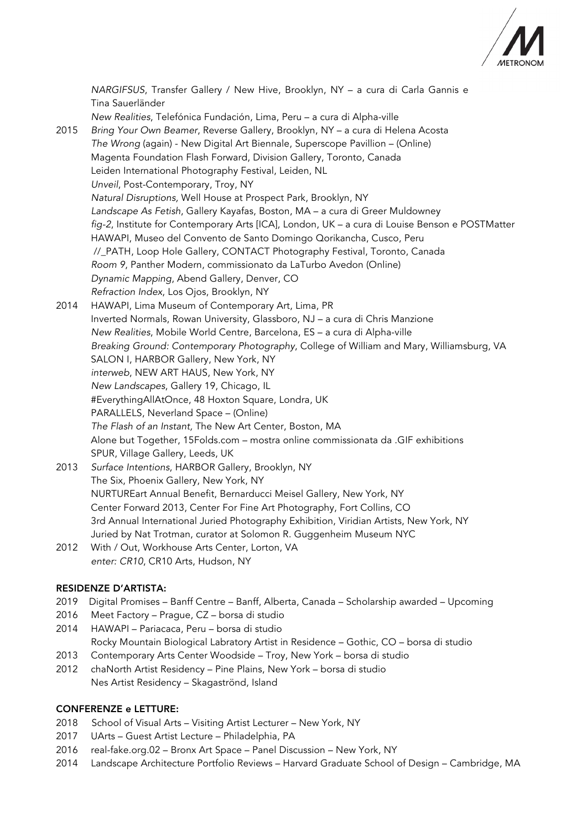

*NARGIFSUS*, Transfer Gallery / New Hive, Brooklyn, NY – a cura di Carla Gannis e Tina Sauerländer *New Realities*, Telefónica Fundación, Lima, Peru – a cura di Alpha-ville 2015 *Bring Your Own Beamer*, Reverse Gallery, Brooklyn, NY – a cura di Helena Acosta *The Wrong* (again) - New Digital Art Biennale, Superscope Pavillion – (Online) Magenta Foundation Flash Forward, Division Gallery, Toronto, Canada Leiden International Photography Festival, Leiden, NL *Unveil*, Post-Contemporary, Troy, NY *Natural Disruptions,* Well House at Prospect Park, Brooklyn, NY *Landscape As Fetish*, Gallery Kayafas, Boston, MA – a cura di Greer Muldowney *fig-2*, Institute for Contemporary Arts [ICA], London, UK – a cura di Louise Benson e POSTMatter HAWAPI, Museo del Convento de Santo Domingo Qorikancha, Cusco, Peru //\_PATH, Loop Hole Gallery, CONTACT Photography Festival, Toronto, Canada *Room 9*, Panther Modern, commissionato da LaTurbo Avedon (Online) *Dynamic Mapping*, Abend Gallery, Denver, CO *Refraction Index*, Los Ojos, Brooklyn, NY 2014 HAWAPI, Lima Museum of Contemporary Art, Lima, PR Inverted Normals, Rowan University, Glassboro, NJ – a cura di Chris Manzione *New Realities*, Mobile World Centre, Barcelona, ES – a cura di Alpha-ville *Breaking Ground: Contemporary Photography*, College of William and Mary, Williamsburg, VA SALON I, HARBOR Gallery, New York, NY *interweb*, NEW ART HAUS, New York, NY *New Landscapes*, Gallery 19, Chicago, IL #EverythingAllAtOnce, 48 Hoxton Square, Londra, UK PARALLELS, Neverland Space – (Online) *The Flash of an Instant,* The New Art Center, Boston, MA Alone but Together, 15Folds.com – mostra online commissionata da .GIF exhibitions SPUR, Village Gallery, Leeds, UK 2013 *Surface Intentions*, HARBOR Gallery, Brooklyn, NY The Six, Phoenix Gallery, New York, NY NURTUREart Annual Benefit, Bernarducci Meisel Gallery, New York, NY Center Forward 2013, Center For Fine Art Photography, Fort Collins, CO 3rd Annual International Juried Photography Exhibition, Viridian Artists, New York, NY Juried by Nat Trotman, curator at Solomon R. Guggenheim Museum NYC 2012 With / Out, Workhouse Arts Center, Lorton, VA *enter: CR10*, CR10 Arts, Hudson, NY

# RESIDENZE D'ARTISTA:

- 2019 Digital Promises Banff Centre Banff, Alberta, Canada Scholarship awarded Upcoming
- 2016 Meet Factory Prague, CZ borsa di studio
- 2014 HAWAPI Pariacaca, Peru borsa di studio Rocky Mountain Biological Labratory Artist in Residence – Gothic, CO – borsa di studio
- 2013 Contemporary Arts Center Woodside Troy, New York borsa di studio
- 2012 chaNorth Artist Residency Pine Plains, New York borsa di studio Nes Artist Residency – Skagaströnd, Island

#### CONFERENZE e LETTURE:

- 2018 School of Visual Arts Visiting Artist Lecturer New York, NY
- 2017 UArts Guest Artist Lecture Philadelphia, PA
- 2016 real-fake.org.02 Bronx Art Space Panel Discussion New York, NY
- 2014 Landscape Architecture Portfolio Reviews Harvard Graduate School of Design Cambridge, MA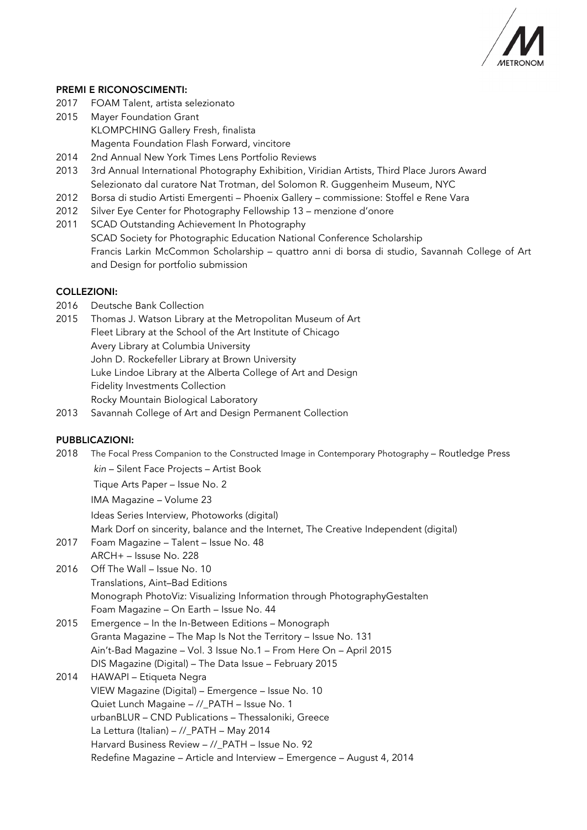

#### PREMI E RICONOSCIMENTI:

- 2017 FOAM Talent, artista selezionato
- 2015 Mayer Foundation Grant KLOMPCHING Gallery Fresh, finalista Magenta Foundation Flash Forward, vincitore
- 2014 2nd Annual New York Times Lens Portfolio Reviews
- 2013 3rd Annual International Photography Exhibition, Viridian Artists, Third Place Jurors Award Selezionato dal curatore Nat Trotman, del Solomon R. Guggenheim Museum, NYC
- 2012 Borsa di studio Artisti Emergenti Phoenix Gallery commissione: Stoffel e Rene Vara
- 2012 Silver Eye Center for Photography Fellowship 13 menzione d'onore
- 2011 SCAD Outstanding Achievement In Photography SCAD Society for Photographic Education National Conference Scholarship Francis Larkin McCommon Scholarship – quattro anni di borsa di studio, Savannah College of Art and Design for portfolio submission

#### COLLEZIONI:

- 2016 Deutsche Bank Collection
- 2015 Thomas J. Watson Library at the Metropolitan Museum of Art Fleet Library at the School of the Art Institute of Chicago Avery Library at Columbia University John D. Rockefeller Library at Brown University Luke Lindoe Library at the Alberta College of Art and Design Fidelity Investments Collection Rocky Mountain Biological Laboratory
- 2013 Savannah College of Art and Design Permanent Collection

#### PUBBLICAZIONI:

- 2018 The Focal Press Companion to the Constructed Image in Contemporary Photography Routledge Press *kin* – Silent Face Projects – Artist Book Tique Arts Paper – Issue No. 2 IMA Magazine – Volume 23 Ideas Series Interview, Photoworks (digital) Mark Dorf on sincerity, balance and the Internet, The Creative Independent (digital) 2017 Foam Magazine – Talent – Issue No. 48 ARCH+ – Issuse No. 228 2016 Off The Wall – Issue No. 10 Translations, Aint–Bad Editions Monograph PhotoViz: Visualizing Information through PhotographyGestalten Foam Magazine – On Earth – Issue No. 44 2015 Emergence – In the In-Between Editions – Monograph Granta Magazine – The Map Is Not the Territory – Issue No. 131 Ain't-Bad Magazine – Vol. 3 Issue No.1 – From Here On – April 2015 DIS Magazine (Digital) – The Data Issue – February 2015 2014 HAWAPI – Etiqueta Negra VIEW Magazine (Digital) – Emergence – Issue No. 10 Quiet Lunch Magaine – //\_PATH – Issue No. 1 urbanBLUR – CND Publications – Thessaloniki, Greece La Lettura (Italian) – //\_PATH – May 2014 Harvard Business Review - // PATH - Issue No. 92
	- Redefine Magazine Article and Interview Emergence August 4, 2014